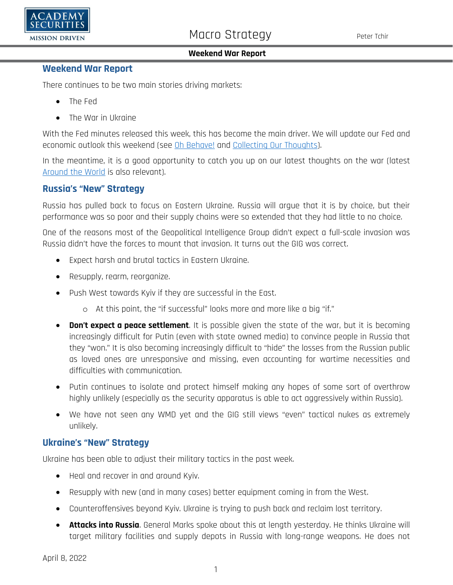

## **Weekend War Report**

There continues to be two main stories driving markets:

- The Fed
- The War in Ukraine

With the Fed minutes released this week, this has become the main driver. We will update our Fed and economic outlook this weekend (see [Oh Behave!](https://www.academysecurities.com/wordpress/wp-content/uploads/2022/04/Austin-Powers-on-the-Yield-Curve.pdf) and [Collecting Our Thoughts\)](https://www.academysecurities.com/wordpress/wp-content/uploads/2022/03/Collecting-Our-Thoughts-1.pdf).

In the meantime, it is a good opportunity to catch you up on our latest thoughts on the war (latest [Around the World](https://www.academysecurities.com/wordpress/wp-content/uploads/2022/03/Around-the-World-with-Academy-Securities_3_31_22-1.pdf) is also relevant).

## **Russia's "New" Strategy**

Russia has pulled back to focus on Eastern Ukraine. Russia will argue that it is by choice, but their performance was so poor and their supply chains were so extended that they had little to no choice.

One of the reasons most of the Geopolitical Intelligence Group didn't expect a full-scale invasion was Russia didn't have the forces to mount that invasion. It turns out the GIG was correct.

- Expect harsh and brutal tactics in Eastern Ukraine.
- Resupply, rearm, reorganize.
- Push West towards Kyiv if they are successful in the East.
	- o At this point, the "if successful" looks more and more like a big "if."
- **Don't expect a peace settlement**. It is possible given the state of the war, but it is becoming increasingly difficult for Putin (even with state owned media) to convince people in Russia that they "won." It is also becoming increasingly difficult to "hide" the losses from the Russian public as loved ones are unresponsive and missing, even accounting for wartime necessities and difficulties with communication.
- Putin continues to isolate and protect himself making any hopes of some sort of overthrow highly unlikely (especially as the security apparatus is able to act aggressively within Russia).
- We have not seen any WMD yet and the GIG still views "even" tactical nukes as extremely unlikely.

## **Ukraine's "New" Strategy**

Ukraine has been able to adjust their military tactics in the past week.

- Heal and recover in and around Kyiv.
- Resupply with new (and in many cases) better equipment coming in from the West.
- Counteroffensives beyond Kyiv. Ukraine is trying to push back and reclaim lost territory.
- **Attacks into Russia**. General Marks spoke about this at length yesterday. He thinks Ukraine will target military facilities and supply depots in Russia with long-range weapons. He does not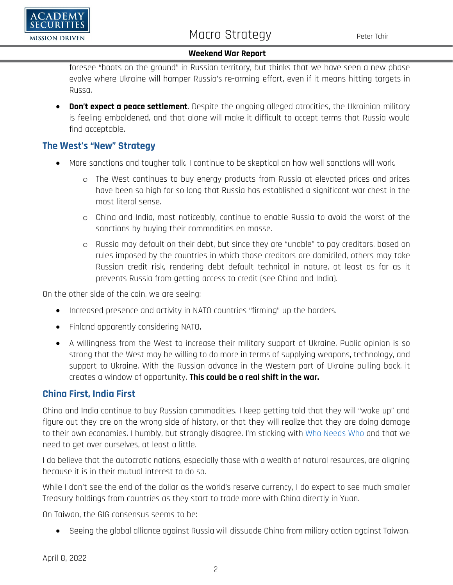

foresee "boots on the ground" in Russian territory, but thinks that we have seen a new phase evolve where Ukraine will hamper Russia's re-arming effort, even if it means hitting targets in Russa.

• **Don't expect a peace settlement**. Despite the ongoing alleged atrocities, the Ukrainian military is feeling emboldened, and that alone will make it difficult to accept terms that Russia would find acceptable.

## **The West's "New" Strategy**

- More sanctions and tougher talk. I continue to be skeptical on how well sanctions will work.
	- o The West continues to buy energy products from Russia at elevated prices and prices have been so high for so long that Russia has established a significant war chest in the most literal sense.
	- o China and India, most noticeably, continue to enable Russia to avoid the worst of the sanctions by buying their commodities en masse.
	- o Russia may default on their debt, but since they are "unable" to pay creditors, based on rules imposed by the countries in which those creditors are domiciled, others may take Russian credit risk, rendering debt default technical in nature, at least as far as it prevents Russia from getting access to credit (see China and India).

On the other side of the coin, we are seeing:

- Increased presence and activity in NATO countries "firming" up the borders.
- Finland apparently considering NATO.
- A willingness from the West to increase their military support of Ukraine. Public opinion is so strong that the West may be willing to do more in terms of supplying weapons, technology, and support to Ukraine. With the Russian advance in the Western part of Ukraine pulling back, it creates a window of opportunity. **This could be a real shift in the war.**

## **China First, India First**

China and India continue to buy Russian commodities. I keep getting told that they will "wake up" and figure out they are on the wrong side of history, or that they will realize that they are doing damage to their own economies. I humbly, but strongly disagree. I'm sticking with [Who Needs Who](https://www.academysecurities.com/wordpress/wp-content/uploads/2022/03/Who-Needs-Who.pdf) and that we need to get over ourselves, at least a little.

I do believe that the autocratic nations, especially those with a wealth of natural resources, are aligning because it is in their mutual interest to do so.

While I don't see the end of the dollar as the world's reserve currency, I do expect to see much smaller Treasury holdings from countries as they start to trade more with China directly in Yuan.

On Taiwan, the GIG consensus seems to be:

• Seeing the global alliance against Russia will dissuade China from miliary action against Taiwan.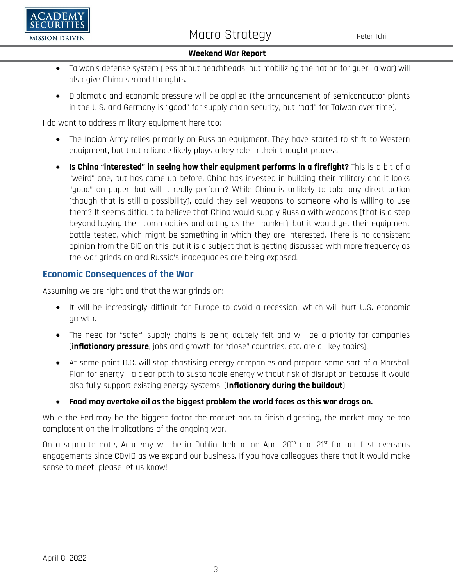

- Taiwan's defense system (less about beachheads, but mobilizing the nation for guerilla war) will also give China second thoughts.
- Diplomatic and economic pressure will be applied (the announcement of semiconductor plants in the U.S. and Germany is "good" for supply chain security, but "bad" for Taiwan over time).

I do want to address military equipment here too:

- The Indian Army relies primarily on Russian equipment. They have started to shift to Western equipment, but that reliance likely plays a key role in their thought process.
- **Is China "interested" in seeing how their equipment performs in a firefight?** This is a bit of a "weird" one, but has come up before. China has invested in building their military and it looks "good" on paper, but will it really perform? While China is unlikely to take any direct action (though that is still a possibility), could they sell weapons to someone who is willing to use them? It seems difficult to believe that China would supply Russia with weapons (that is a step beyond buying their commodities and acting as their banker), but it would get their equipment battle tested, which might be something in which they are interested. There is no consistent opinion from the GIG on this, but it is a subject that is getting discussed with more frequency as the war grinds on and Russia's inadequacies are being exposed.

# **Economic Consequences of the War**

Assuming we are right and that the war grinds on:

- It will be increasingly difficult for Europe to avoid a recession, which will hurt U.S. economic growth.
- The need for "safer" supply chains is being acutely felt and will be a priority for companies (**inflationary pressure**, jobs and growth for "close" countries, etc. are all key topics).
- At some point D.C. will stop chastising energy companies and prepare some sort of a Marshall Plan for energy - a clear path to sustainable energy without risk of disruption because it would also fully support existing energy systems. (**Inflationary during the buildout**).
- **Food may overtake oil as the biggest problem the world faces as this war drags on.**

While the Fed may be the biggest factor the market has to finish digesting, the market may be too complacent on the implications of the ongoing war.

On a separate note, Academy will be in Dublin, Ireland on April 20<sup>th</sup> and 21<sup>st</sup> for our first overseas engagements since COVID as we expand our business. If you have colleagues there that it would make sense to meet, please let us know!